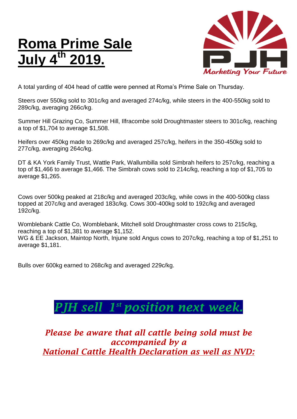## **Roma Prime Sale July 4 th 2019.**



A total yarding of 404 head of cattle were penned at Roma's Prime Sale on Thursday.

Steers over 550kg sold to 301c/kg and averaged 274c/kg, while steers in the 400-550kg sold to 289c/kg, averaging 266c/kg.

Summer Hill Grazing Co, Summer Hill, Ilfracombe sold Droughtmaster steers to 301c/kg, reaching a top of \$1,704 to average \$1,508.

Heifers over 450kg made to 269c/kg and averaged 257c/kg, heifers in the 350-450kg sold to 277c/kg, averaging 264c/kg.

DT & KA York Family Trust, Wattle Park, Wallumbilla sold Simbrah heifers to 257c/kg, reaching a top of \$1,466 to average \$1,466. The Simbrah cows sold to 214c/kg, reaching a top of \$1,705 to average \$1,265.

Cows over 500kg peaked at 218c/kg and averaged 203c/kg, while cows in the 400-500kg class topped at 207c/kg and averaged 183c/kg. Cows 300-400kg sold to 192c/kg and averaged 192c/kg.

Womblebank Cattle Co, Womblebank, Mitchell sold Droughtmaster cross cows to 215c/kg, reaching a top of \$1,381 to average \$1,152.

WG & EE Jackson, Maintop North, Injune sold Angus cows to 207c/kg, reaching a top of \$1,251 to average \$1,181.

Bulls over 600kg earned to 268c/kg and averaged 229c/kg.

## *PJH sell 1 st position next week.*

*Please be aware that all cattle being sold must be accompanied by a National Cattle Health Declaration as well as NVD:*